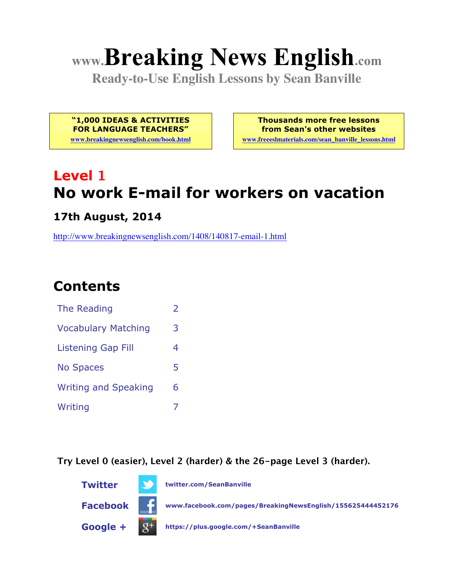# **www.Breaking News English.com**

**Ready-to-Use English Lessons by Sean Banville**

**"1,000 IDEAS & ACTIVITIES FOR LANGUAGE TEACHERS"**

**www.breakingnewsenglish.com/book.html**

**Thousands more free lessons from Sean's other websites www.freeeslmaterials.com/sean\_banville\_lessons.html**

# **Level 1 No work E-mail for workers on vacation**

**17th August, 2014**

http://www.breakingnewsenglish.com/1408/140817-email-1.html

# **Contents**

| The Reading                 |   |
|-----------------------------|---|
| <b>Vocabulary Matching</b>  | 3 |
| <b>Listening Gap Fill</b>   | 4 |
| <b>No Spaces</b>            | 5 |
| <b>Writing and Speaking</b> | 6 |
| Writing                     |   |

**Try Level 0 (easier), Level 2 (harder) & the 26-page Level 3 (harder).**

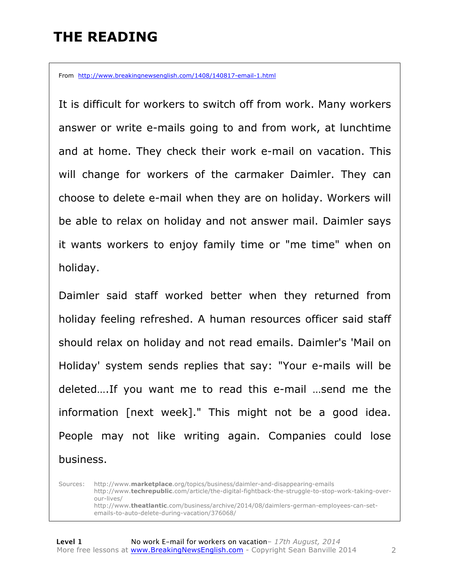# **THE READING**

From http://www.breakingnewsenglish.com/1408/140817-email-1.html

It is difficult for workers to switch off from work. Many workers answer or write e-mails going to and from work, at lunchtime and at home. They check their work e-mail on vacation. This will change for workers of the carmaker Daimler. They can choose to delete e-mail when they are on holiday. Workers will be able to relax on holiday and not answer mail. Daimler says it wants workers to enjoy family time or "me time" when on holiday.

Daimler said staff worked better when they returned from holiday feeling refreshed. A human resources officer said staff should relax on holiday and not read emails. Daimler's 'Mail on Holiday' system sends replies that say: "Your e-mails will be deleted….If you want me to read this e-mail …send me the information [next week]." This might not be a good idea. People may not like writing again. Companies could lose business.

Sources: http://www.**marketplace**.org/topics/business/daimler-and-disappearing-emails http://www.**techrepublic**.com/article/the-digital-fightback-the-struggle-to-stop-work-taking-overour-lives/ http://www.**theatlantic**.com/business/archive/2014/08/daimlers-german-employees-can-setemails-to-auto-delete-during-vacation/376068/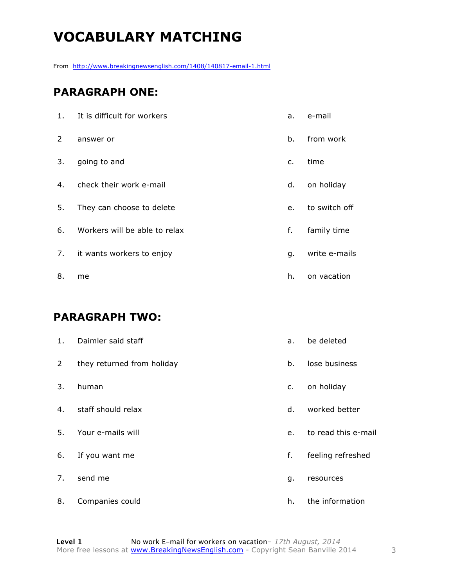# **VOCABULARY MATCHING**

From http://www.breakingnewsenglish.com/1408/140817-email-1.html

#### **PARAGRAPH ONE:**

| 1.             | It is difficult for workers   | a. | e-mail        |
|----------------|-------------------------------|----|---------------|
| $\overline{2}$ | answer or                     | b. | from work     |
| 3.             | going to and                  | c. | time          |
| 4.             | check their work e-mail       | d. | on holiday    |
| 5.             | They can choose to delete     | e. | to switch off |
| 6.             | Workers will be able to relax | f. | family time   |
| 7.             | it wants workers to enjoy     | g. | write e-mails |
| 8.             | me                            | h. | on vacation   |

#### **PARAGRAPH TWO:**

| 1.             | Daimler said staff         | a.          | be deleted          |
|----------------|----------------------------|-------------|---------------------|
| $\overline{2}$ | they returned from holiday | $b_{\cdot}$ | lose business       |
| 3.             | human                      | c.          | on holiday          |
| 4.             | staff should relax         | d.          | worked better       |
| 5.             | Your e-mails will          | e.          | to read this e-mail |
| 6.             | If you want me             | f.          | feeling refreshed   |
| 7.             | send me                    | g.          | resources           |
| 8.             | Companies could            | h.          | the information     |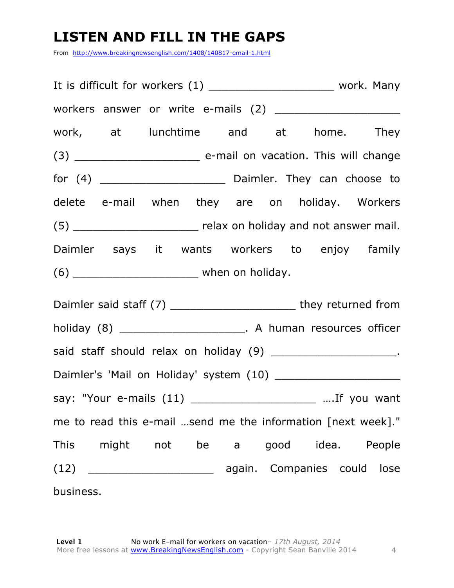# **LISTEN AND FILL IN THE GAPS**

From http://www.breakingnewsenglish.com/1408/140817-email-1.html

| It is difficult for workers (1) ____________________________ work. Many |  |  |  |
|-------------------------------------------------------------------------|--|--|--|
|                                                                         |  |  |  |
| work, at lunchtime and at home. They                                    |  |  |  |
|                                                                         |  |  |  |
|                                                                         |  |  |  |
| delete e-mail when they are on holiday. Workers                         |  |  |  |
| (5) __________________________ relax on holiday and not answer mail.    |  |  |  |
| Daimler says it wants workers to enjoy family                           |  |  |  |
|                                                                         |  |  |  |
| Daimler said staff (7) ___________________________ they returned from   |  |  |  |
| holiday (8) ___________________________. A human resources officer      |  |  |  |
| said staff should relax on holiday (9) ________________________.        |  |  |  |
|                                                                         |  |  |  |
| say: "Your e-mails (11) __________________________  If you want         |  |  |  |
| me to read this e-mail send me the information [next week]."            |  |  |  |
| This might not be a good idea. People                                   |  |  |  |
|                                                                         |  |  |  |
| business.                                                               |  |  |  |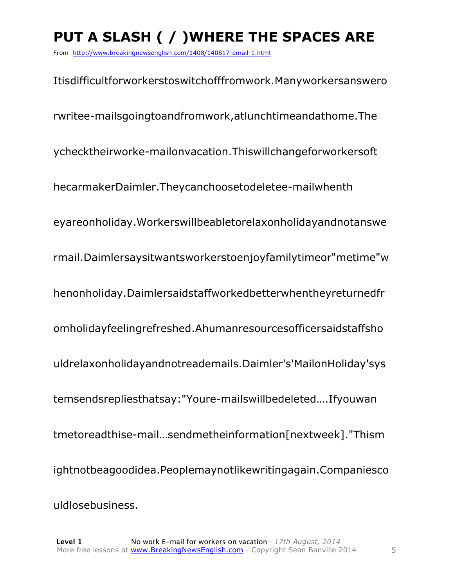# **PUT A SLASH ( / )WHERE THE SPACES ARE**

From http://www.breakingnewsenglish.com/1408/140817-email-1.html

Itisdifficultforworkerstoswitchofffromwork.Manyworkersanswero rwritee-mailsgoingtoandfromwork,atlunchtimeandathome.The ychecktheirworke-mailonvacation.Thiswillchangeforworkersoft hecarmakerDaimler.Theycanchoosetodeletee-mailwhenth eyareonholiday.Workerswillbeabletorelaxonholidayandnotanswe rmail.Daimlersaysitwantsworkerstoenjoyfamilytimeor"metime"w henonholiday.Daimlersaidstaffworkedbetterwhentheyreturnedfr omholidayfeelingrefreshed.Ahumanresourcesofficersaidstaffsho uldrelaxonholidayandnotreademails.Daimler's'MailonHoliday'sys temsendsrepliesthatsay:"Youre-mailswillbedeleted….Ifyouwan tmetoreadthise-mail…sendmetheinformation[nextweek]."Thism ightnotbeagoodidea.Peoplemaynotlikewritingagain.Companiesco uldlosebusiness.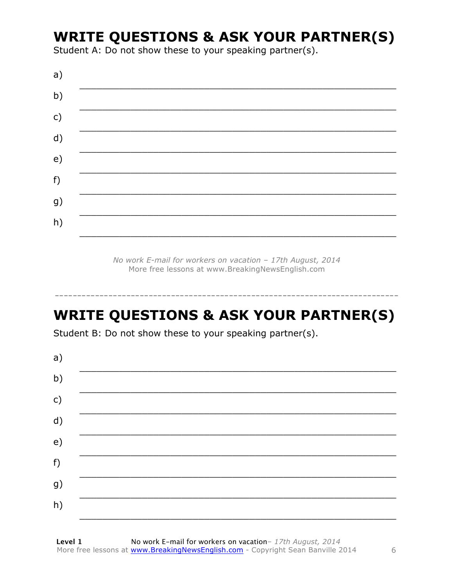# **WRITE QUESTIONS & ASK YOUR PARTNER(S)**

Student A: Do not show these to your speaking partner(s).

| a)            |  |  |
|---------------|--|--|
| b)            |  |  |
| $\mathsf{c})$ |  |  |
| d)            |  |  |
| e)            |  |  |
| f)            |  |  |
| g)            |  |  |
| h)            |  |  |
|               |  |  |

No work E-mail for workers on vacation - 17th August, 2014 More free lessons at www.BreakingNewsEnglish.com

# **WRITE QUESTIONS & ASK YOUR PARTNER(S)**

Student B: Do not show these to your speaking partner(s).